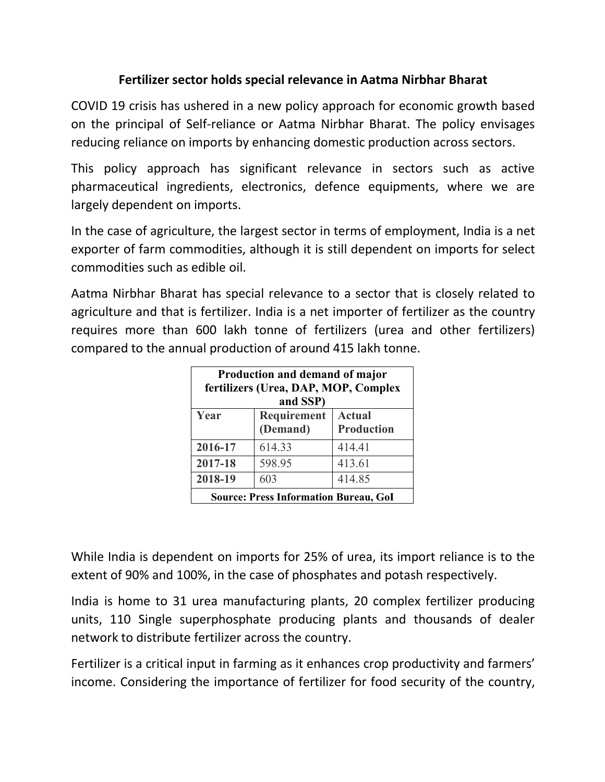## **Fertilizer sector holds special relevance in Aatma Nirbhar Bharat**

COVID 19 crisis has ushered in a new policy approach for economic growth based on the principal of Self-reliance or Aatma Nirbhar Bharat. The policy envisages reducing reliance on imports by enhancing domestic production across sectors.

This policy approach has significant relevance in sectors such as active pharmaceutical ingredients, electronics, defence equipments, where we are largely dependent on imports.

In the case of agriculture, the largest sector in terms of employment, India is a net exporter of farm commodities, although it is still dependent on imports for select commodities such as edible oil.

Aatma Nirbhar Bharat has special relevance to a sector that is closely related to agriculture and that is fertilizer. India is a net importer of fertilizer as the country requires more than 600 lakh tonne of fertilizers (urea and other fertilizers) compared to the annual production of around 415 lakh tonne.

| Production and demand of major<br>fertilizers (Urea, DAP, MOP, Complex<br>and SSP) |                         |                                    |
|------------------------------------------------------------------------------------|-------------------------|------------------------------------|
| Year                                                                               | Requirement<br>(Demand) | <b>Actual</b><br><b>Production</b> |
| 2016-17                                                                            | 614.33                  | 414.41                             |
| 2017-18                                                                            | 598.95                  | 413.61                             |
| 2018-19                                                                            | 603                     | 414.85                             |
| <b>Source: Press Information Bureau, GoI</b>                                       |                         |                                    |

While India is dependent on imports for 25% of urea, its import reliance is to the extent of 90% and 100%, in the case of phosphates and potash respectively.

India is home to 31 urea manufacturing plants, 20 complex fertilizer producing units, 110 Single superphosphate producing plants and thousands of dealer network to distribute fertilizer across the country.

Fertilizer is a critical input in farming as it enhances crop productivity and farmers' income. Considering the importance of fertilizer for food security of the country,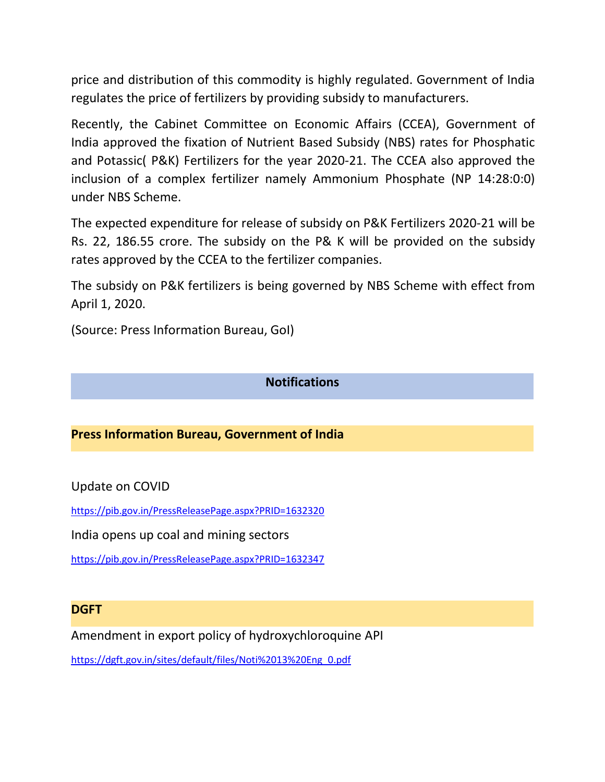price and distribution of this commodity is highly regulated. Government of India regulates the price of fertilizers by providing subsidy to manufacturers.

Recently, the Cabinet Committee on Economic Affairs (CCEA), Government of India approved the fixation of Nutrient Based Subsidy (NBS) rates for Phosphatic and Potassic( P&K) Fertilizers for the year 2020-21. The CCEA also approved the inclusion of a complex fertilizer namely Ammonium Phosphate (NP 14:28:0:0) under NBS Scheme.

The expected expenditure for release of subsidy on P&K Fertilizers 2020-21 will be Rs. 22, 186.55 crore. The subsidy on the P& K will be provided on the subsidy rates approved by the CCEA to the fertilizer companies.

The subsidy on P&K fertilizers is being governed by NBS Scheme with effect from April 1, 2020.

(Source: Press Information Bureau, GoI)

### **Notifications**

## **Press Information Bureau, Government of India**

Update on COVID

<https://pib.gov.in/PressReleasePage.aspx?PRID=1632320>

India opens up coal and mining sectors

<https://pib.gov.in/PressReleasePage.aspx?PRID=1632347>

#### **DGFT**

Amendment in export policy of hydroxychloroquine API

[https://dgft.gov.in/sites/default/files/Noti%2013%20Eng\\_0.pdf](https://dgft.gov.in/sites/default/files/Noti%2013%20Eng_0.pdf)